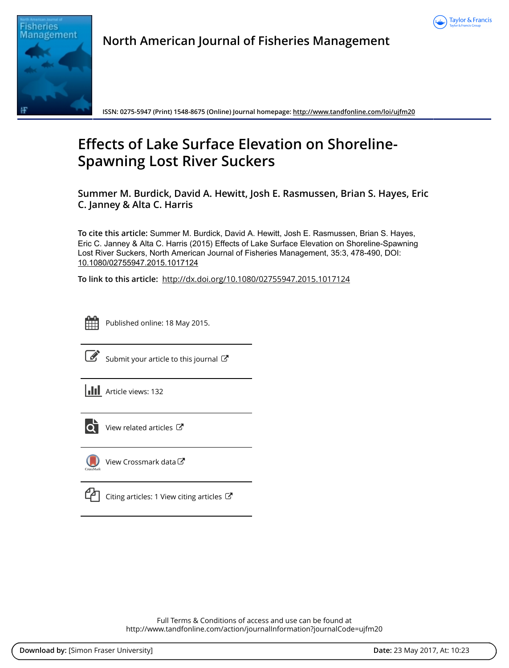



**North American Journal of Fisheries Management**

**ISSN: 0275-5947 (Print) 1548-8675 (Online) Journal homepage:<http://www.tandfonline.com/loi/ujfm20>**

# **Effects of Lake Surface Elevation on Shoreline-Spawning Lost River Suckers**

**Summer M. Burdick, David A. Hewitt, Josh E. Rasmussen, Brian S. Hayes, Eric C. Janney & Alta C. Harris**

**To cite this article:** Summer M. Burdick, David A. Hewitt, Josh E. Rasmussen, Brian S. Hayes, Eric C. Janney & Alta C. Harris (2015) Effects of Lake Surface Elevation on Shoreline-Spawning Lost River Suckers, North American Journal of Fisheries Management, 35:3, 478-490, DOI: [10.1080/02755947.2015.1017124](http://www.tandfonline.com/action/showCitFormats?doi=10.1080/02755947.2015.1017124)

**To link to this article:** <http://dx.doi.org/10.1080/02755947.2015.1017124>

|  | _ |  |
|--|---|--|
|  |   |  |
|  |   |  |
|  |   |  |

Published online: 18 May 2015.

[Submit your article to this journal](http://www.tandfonline.com/action/authorSubmission?journalCode=ujfm20&show=instructions)  $\mathbb{Z}$ 





[View related articles](http://www.tandfonline.com/doi/mlt/10.1080/02755947.2015.1017124) C



[View Crossmark data](http://crossmark.crossref.org/dialog/?doi=10.1080/02755947.2015.1017124&domain=pdf&date_stamp=2015-05-18)<sup>C</sup>

[Citing articles: 1 View citing articles](http://www.tandfonline.com/doi/citedby/10.1080/02755947.2015.1017124#tabModule)  $\mathbb{Z}$ 

Full Terms & Conditions of access and use can be found at <http://www.tandfonline.com/action/journalInformation?journalCode=ujfm20>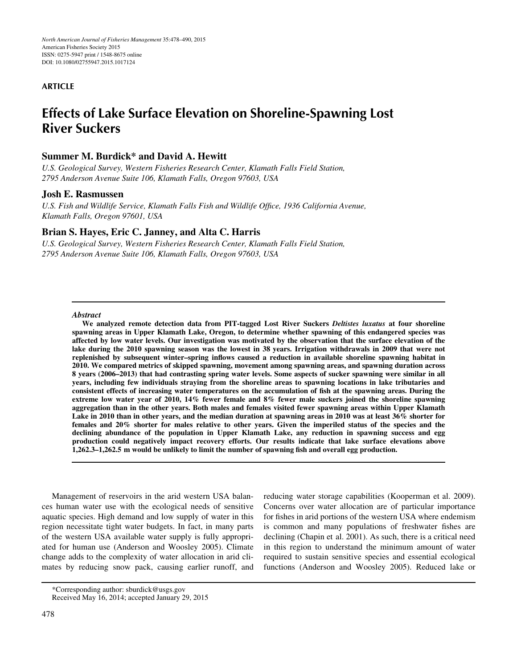North American Journal of Fisheries Management 35:478–490, 2015 American Fisheries Society 2015 ISSN: 0275-5947 print / 1548-8675 online DOI: 10.1080/02755947.2015.1017124

# ARTICLE

# Effects of Lake Surface Elevation on Shoreline-Spawning Lost River Suckers

# Summer M. Burdick\* and David A. Hewitt

U.S. Geological Survey, Western Fisheries Research Center, Klamath Falls Field Station, 2795 Anderson Avenue Suite 106, Klamath Falls, Oregon 97603, USA

## Josh E. Rasmussen

U.S. Fish and Wildlife Service, Klamath Falls Fish and Wildlife Office, 1936 California Avenue, Klamath Falls, Oregon 97601, USA

# Brian S. Hayes, Eric C. Janney, and Alta C. Harris

U.S. Geological Survey, Western Fisheries Research Center, Klamath Falls Field Station, 2795 Anderson Avenue Suite 106, Klamath Falls, Oregon 97603, USA

#### **A**bstract

We analyzed remote detection data from PIT-tagged Lost River Suckers Deltistes luxatus at four shoreline spawning areas in Upper Klamath Lake, Oregon, to determine whether spawning of this endangered species was affected by low water levels. Our investigation was motivated by the observation that the surface elevation of the lake during the 2010 spawning season was the lowest in 38 years. Irrigation withdrawals in 2009 that were not replenished by subsequent winter–spring inflows caused a reduction in available shoreline spawning habitat in 2010. We compared metrics of skipped spawning, movement among spawning areas, and spawning duration across 8 years (2006–2013) that had contrasting spring water levels. Some aspects of sucker spawning were similar in all years, including few individuals straying from the shoreline areas to spawning locations in lake tributaries and consistent effects of increasing water temperatures on the accumulation of fish at the spawning areas. During the extreme low water year of 2010, 14% fewer female and 8% fewer male suckers joined the shoreline spawning aggregation than in the other years. Both males and females visited fewer spawning areas within Upper Klamath Lake in 2010 than in other years, and the median duration at spawning areas in 2010 was at least 36% shorter for females and 20% shorter for males relative to other years. Given the imperiled status of the species and the declining abundance of the population in Upper Klamath Lake, any reduction in spawning success and egg production could negatively impact recovery efforts. Our results indicate that lake surface elevations above 1,262.3–1,262.5 m would be unlikely to limit the number of spawning fish and overall egg production.

Management of reservoirs in the arid western USA balances human water use with the ecological needs of sensitive aquatic species. High demand and low supply of water in this region necessitate tight water budgets. In fact, in many parts of the western USA available water supply is fully appropriated for human use (Anderson and Woosley 2005). Climate change adds to the complexity of water allocation in arid climates by reducing snow pack, causing earlier runoff, and reducing water storage capabilities (Kooperman et al. 2009). Concerns over water allocation are of particular importance for fishes in arid portions of the western USA where endemism is common and many populations of freshwater fishes are declining (Chapin et al. 2001). As such, there is a critical need in this region to understand the minimum amount of water required to sustain sensitive species and essential ecological functions (Anderson and Woosley 2005). Reduced lake or

<sup>\*</sup>Corresponding author: sburdick@usgs.gov

Received May 16, 2014; accepted January 29, 2015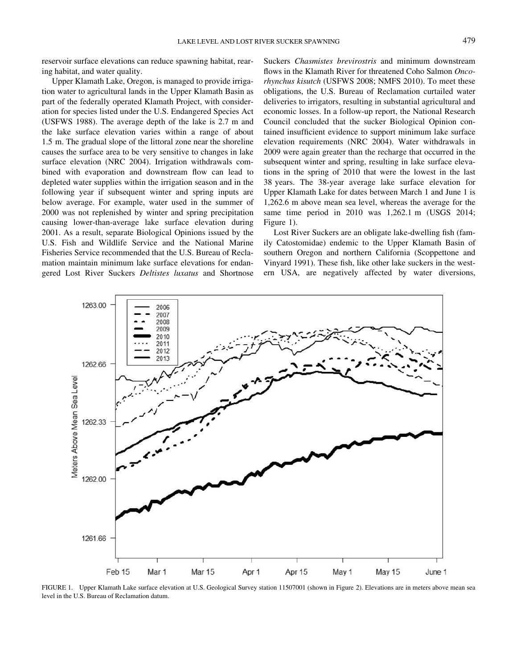reservoir surface elevations can reduce spawning habitat, rearing habitat, and water quality.

Upper Klamath Lake, Oregon, is managed to provide irrigation water to agricultural lands in the Upper Klamath Basin as part of the federally operated Klamath Project, with consideration for species listed under the U.S. Endangered Species Act (USFWS 1988). The average depth of the lake is 2.7 m and the lake surface elevation varies within a range of about 1.5 m. The gradual slope of the littoral zone near the shoreline causes the surface area to be very sensitive to changes in lake surface elevation (NRC 2004). Irrigation withdrawals combined with evaporation and downstream flow can lead to depleted water supplies within the irrigation season and in the following year if subsequent winter and spring inputs are below average. For example, water used in the summer of 2000 was not replenished by winter and spring precipitation causing lower-than-average lake surface elevation during 2001. As a result, separate Biological Opinions issued by the U.S. Fish and Wildlife Service and the National Marine Fisheries Service recommended that the U.S. Bureau of Reclamation maintain minimum lake surface elevations for endangered Lost River Suckers Deltistes luxatus and Shortnose

Suckers Chasmistes brevirostris and minimum downstream flows in the Klamath River for threatened Coho Salmon Oncorhynchus kisutch (USFWS 2008; NMFS 2010). To meet these obligations, the U.S. Bureau of Reclamation curtailed water deliveries to irrigators, resulting in substantial agricultural and economic losses. In a follow-up report, the National Research Council concluded that the sucker Biological Opinion contained insufficient evidence to support minimum lake surface elevation requirements (NRC 2004). Water withdrawals in 2009 were again greater than the recharge that occurred in the subsequent winter and spring, resulting in lake surface elevations in the spring of 2010 that were the lowest in the last 38 years. The 38-year average lake surface elevation for Upper Klamath Lake for dates between March 1 and June 1 is 1,262.6 m above mean sea level, whereas the average for the same time period in 2010 was 1,262.1 m (USGS 2014; Figure 1).

Lost River Suckers are an obligate lake-dwelling fish (family Catostomidae) endemic to the Upper Klamath Basin of southern Oregon and northern California (Scoppettone and Vinyard 1991). These fish, like other lake suckers in the western USA, are negatively affected by water diversions,



FIGURE 1. Upper Klamath Lake surface elevation at U.S. Geological Survey station 11507001 (shown in Figure 2). Elevations are in meters above mean sea level in the U.S. Bureau of Reclamation datum.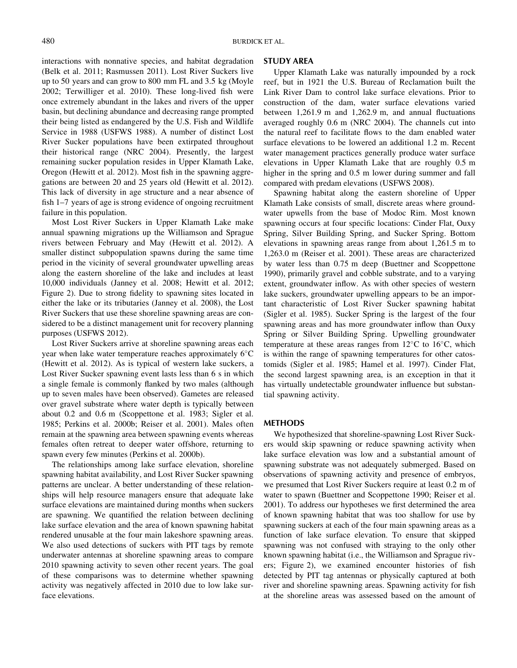interactions with nonnative species, and habitat degradation (Belk et al. 2011; Rasmussen 2011). Lost River Suckers live up to 50 years and can grow to 800 mm FL and 3.5 kg (Moyle 2002; Terwilliger et al. 2010). These long-lived fish were once extremely abundant in the lakes and rivers of the upper basin, but declining abundance and decreasing range prompted their being listed as endangered by the U.S. Fish and Wildlife Service in 1988 (USFWS 1988). A number of distinct Lost River Sucker populations have been extirpated throughout their historical range (NRC 2004). Presently, the largest remaining sucker population resides in Upper Klamath Lake, Oregon (Hewitt et al. 2012). Most fish in the spawning aggregations are between 20 and 25 years old (Hewitt et al. 2012). This lack of diversity in age structure and a near absence of fish 1–7 years of age is strong evidence of ongoing recruitment failure in this population.

Most Lost River Suckers in Upper Klamath Lake make annual spawning migrations up the Williamson and Sprague rivers between February and May (Hewitt et al. 2012). A smaller distinct subpopulation spawns during the same time period in the vicinity of several groundwater upwelling areas along the eastern shoreline of the lake and includes at least 10,000 individuals (Janney et al. 2008; Hewitt et al. 2012; Figure 2). Due to strong fidelity to spawning sites located in either the lake or its tributaries (Janney et al. 2008), the Lost River Suckers that use these shoreline spawning areas are considered to be a distinct management unit for recovery planning purposes (USFWS 2012).

Lost River Suckers arrive at shoreline spawning areas each year when lake water temperature reaches approximately  $6^{\circ}$ C (Hewitt et al. 2012). As is typical of western lake suckers, a Lost River Sucker spawning event lasts less than 6 s in which a single female is commonly flanked by two males (although up to seven males have been observed). Gametes are released over gravel substrate where water depth is typically between about 0.2 and 0.6 m (Scoppettone et al. 1983; Sigler et al. 1985; Perkins et al. 2000b; Reiser et al. 2001). Males often remain at the spawning area between spawning events whereas females often retreat to deeper water offshore, returning to spawn every few minutes (Perkins et al. 2000b).

The relationships among lake surface elevation, shoreline spawning habitat availability, and Lost River Sucker spawning patterns are unclear. A better understanding of these relationships will help resource managers ensure that adequate lake surface elevations are maintained during months when suckers are spawning. We quantified the relation between declining lake surface elevation and the area of known spawning habitat rendered unusable at the four main lakeshore spawning areas. We also used detections of suckers with PIT tags by remote underwater antennas at shoreline spawning areas to compare 2010 spawning activity to seven other recent years. The goal of these comparisons was to determine whether spawning activity was negatively affected in 2010 due to low lake surface elevations.

#### STUDY AREA

Upper Klamath Lake was naturally impounded by a rock reef, but in 1921 the U.S. Bureau of Reclamation built the Link River Dam to control lake surface elevations. Prior to construction of the dam, water surface elevations varied between 1,261.9 m and 1,262.9 m, and annual fluctuations averaged roughly 0.6 m (NRC 2004). The channels cut into the natural reef to facilitate flows to the dam enabled water surface elevations to be lowered an additional 1.2 m. Recent water management practices generally produce water surface elevations in Upper Klamath Lake that are roughly 0.5 m higher in the spring and  $0.5$  m lower during summer and fall compared with predam elevations (USFWS 2008).

Spawning habitat along the eastern shoreline of Upper Klamath Lake consists of small, discrete areas where groundwater upwells from the base of Modoc Rim. Most known spawning occurs at four specific locations: Cinder Flat, Ouxy Spring, Silver Building Spring, and Sucker Spring. Bottom elevations in spawning areas range from about 1,261.5 m to 1,263.0 m (Reiser et al. 2001). These areas are characterized by water less than 0.75 m deep (Buettner and Scoppettone 1990), primarily gravel and cobble substrate, and to a varying extent, groundwater inflow. As with other species of western lake suckers, groundwater upwelling appears to be an important characteristic of Lost River Sucker spawning habitat (Sigler et al. 1985). Sucker Spring is the largest of the four spawning areas and has more groundwater inflow than Ouxy Spring or Silver Building Spring. Upwelling groundwater temperature at these areas ranges from  $12^{\circ}$ C to  $16^{\circ}$ C, which is within the range of spawning temperatures for other catostomids (Sigler et al. 1985; Hamel et al. 1997). Cinder Flat, the second largest spawning area, is an exception in that it has virtually undetectable groundwater influence but substantial spawning activity.

#### METHODS

We hypothesized that shoreline-spawning Lost River Suckers would skip spawning or reduce spawning activity when lake surface elevation was low and a substantial amount of spawning substrate was not adequately submerged. Based on observations of spawning activity and presence of embryos, we presumed that Lost River Suckers require at least 0.2 m of water to spawn (Buettner and Scoppettone 1990; Reiser et al. 2001). To address our hypotheses we first determined the area of known spawning habitat that was too shallow for use by spawning suckers at each of the four main spawning areas as a function of lake surface elevation. To ensure that skipped spawning was not confused with straying to the only other known spawning habitat (i.e., the Williamson and Sprague rivers; Figure 2), we examined encounter histories of fish detected by PIT tag antennas or physically captured at both river and shoreline spawning areas. Spawning activity for fish at the shoreline areas was assessed based on the amount of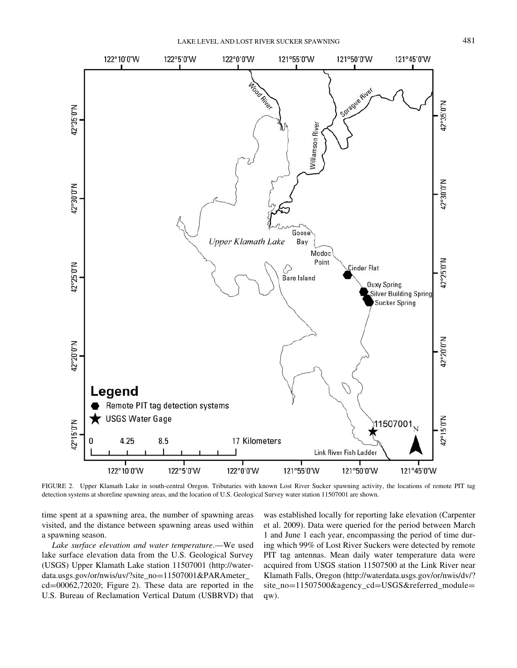

FIGURE 2. Upper Klamath Lake in south-central Oregon. Tributaries with known Lost River Sucker spawning activity, the locations of remote PIT tag detection systems at shoreline spawning areas, and the location of U.S. Geological Survey water station 11507001 are shown.

time spent at a spawning area, the number of spawning areas visited, and the distance between spawning areas used within a spawning season.

Lake surface elevation and water temperature.—We used lake surface elevation data from the U.S. Geological Survey (USGS) Upper Klamath Lake station 11507001 (http://waterdata.usgs.gov/or/nwis/uv/?site\_no=11507001&PARAmeter\_  $cd = 00062,72020$ ; Figure 2). These data are reported in the U.S. Bureau of Reclamation Vertical Datum (USBRVD) that

was established locally for reporting lake elevation (Carpenter et al. 2009). Data were queried for the period between March 1 and June 1 each year, encompassing the period of time during which 99% of Lost River Suckers were detected by remote PIT tag antennas. Mean daily water temperature data were acquired from USGS station 11507500 at the Link River near Klamath Falls, Oregon (http://waterdata.usgs.gov/or/nwis/dv/? site\_no=11507500&agency\_cd=USGS&referred\_module= qw).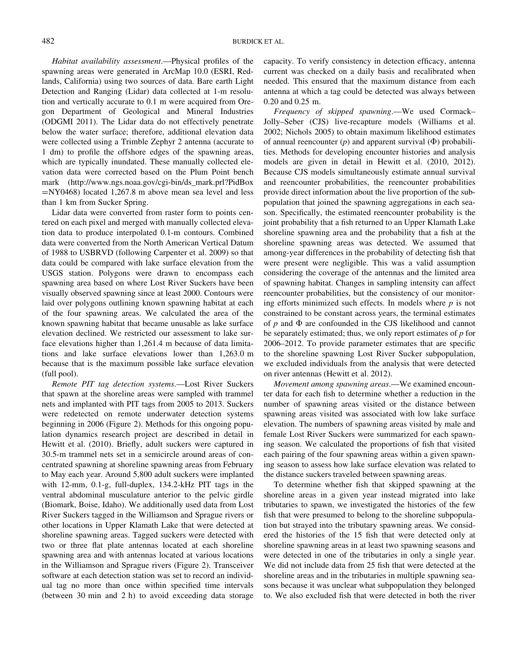Habitat availability assessment.—Physical profiles of the spawning areas were generated in ArcMap 10.0 (ESRI, Redlands, California) using two sources of data. Bare earth Light Detection and Ranging (Lidar) data collected at 1-m resolution and vertically accurate to 0.1 m were acquired from Oregon Department of Geological and Mineral Industries (ODGMI 2011). The Lidar data do not effectively penetrate below the water surface; therefore, additional elevation data were collected using a Trimble Zephyr 2 antenna (accurate to 1 dm) to profile the offshore edges of the spawning areas, which are typically inundated. These manually collected elevation data were corrected based on the Plum Point bench mark ([http://www.ngs.noaa.gov/cgi-bin/ds\\_mark.prl?PidBox](http://www.ngs.noaa.gov/cgi-bin/ds_mark.prl?PidBox)  $=NY0468$ ) located 1,267.8 m above mean sea level and less [than 1 km from Sucker Spring.](http://www.ngs.noaa.gov/cgi-bin/ds_mark.prl?PidBox)

Lidar data were converted from raster form to points centered on each pixel and merged with manually collected elevation data to produce interpolated 0.1-m contours. Combined data were converted from the North American Vertical Datum of 1988 to USBRVD (following Carpenter et al. 2009) so that data could be compared with lake surface elevation from the USGS station. Polygons were drawn to encompass each spawning area based on where Lost River Suckers have been visually observed spawning since at least 2000. Contours were laid over polygons outlining known spawning habitat at each of the four spawning areas. We calculated the area of the known spawning habitat that became unusable as lake surface elevation declined. We restricted our assessment to lake surface elevations higher than 1,261.4 m because of data limitations and lake surface elevations lower than 1,263.0 m because that is the maximum possible lake surface elevation (full pool).

Remote PIT tag detection systems.—Lost River Suckers that spawn at the shoreline areas were sampled with trammel nets and implanted with PIT tags from 2005 to 2013. Suckers were redetected on remote underwater detection systems beginning in 2006 (Figure 2). Methods for this ongoing population dynamics research project are described in detail in Hewitt et al. (2010). Briefly, adult suckers were captured in 30.5-m trammel nets set in a semicircle around areas of concentrated spawning at shoreline spawning areas from February to May each year. Around 5,800 adult suckers were implanted with 12-mm, 0.1-g, full-duplex, 134.2-kHz PIT tags in the ventral abdominal musculature anterior to the pelvic girdle (Biomark, Boise, Idaho). We additionally used data from Lost River Suckers tagged in the Williamson and Sprague rivers or other locations in Upper Klamath Lake that were detected at shoreline spawning areas. Tagged suckers were detected with two or three flat plate antennas located at each shoreline spawning area and with antennas located at various locations in the Williamson and Sprague rivers (Figure 2). Transceiver software at each detection station was set to record an individual tag no more than once within specified time intervals (between 30 min and 2 h) to avoid exceeding data storage

capacity. To verify consistency in detection efficacy, antenna current was checked on a daily basis and recalibrated when needed. This ensured that the maximum distance from each antenna at which a tag could be detected was always between 0.20 and 0.25 m.

Frequency of skipped spawning.—We used Cormack– Jolly–Seber (CJS) live-recapture models (Williams et al. 2002; Nichols 2005) to obtain maximum likelihood estimates of annual reencounter  $(p)$  and apparent survival  $(\Phi)$  probabilities. Methods for developing encounter histories and analysis models are given in detail in Hewitt et al. (2010, 2012). Because CJS models simultaneously estimate annual survival and reencounter probabilities, the reencounter probabilities provide direct information about the live proportion of the subpopulation that joined the spawning aggregations in each season. Specifically, the estimated reencounter probability is the joint probability that a fish returned to an Upper Klamath Lake shoreline spawning area and the probability that a fish at the shoreline spawning areas was detected. We assumed that among-year differences in the probability of detecting fish that were present were negligible. This was a valid assumption considering the coverage of the antennas and the limited area of spawning habitat. Changes in sampling intensity can affect reencounter probabilities, but the consistency of our monitoring efforts minimized such effects. In models where  $p$  is not constrained to be constant across years, the terminal estimates of  $p$  and  $\Phi$  are confounded in the CJS likelihood and cannot be separately estimated; thus, we only report estimates of  $p$  for 2006–2012. To provide parameter estimates that are specific to the shoreline spawning Lost River Sucker subpopulation, we excluded individuals from the analysis that were detected on river antennas (Hewitt et al. 2012).

Movement among spawning areas.—We examined encounter data for each fish to determine whether a reduction in the number of spawning areas visited or the distance between spawning areas visited was associated with low lake surface elevation. The numbers of spawning areas visited by male and female Lost River Suckers were summarized for each spawning season. We calculated the proportions of fish that visited each pairing of the four spawning areas within a given spawning season to assess how lake surface elevation was related to the distance suckers traveled between spawning areas.

To determine whether fish that skipped spawning at the shoreline areas in a given year instead migrated into lake tributaries to spawn, we investigated the histories of the few fish that were presumed to belong to the shoreline subpopulation but strayed into the tributary spawning areas. We considered the histories of the 15 fish that were detected only at shoreline spawning areas in at least two spawning seasons and were detected in one of the tributaries in only a single year. We did not include data from 25 fish that were detected at the shoreline areas and in the tributaries in multiple spawning seasons because it was unclear what subpopulation they belonged to. We also excluded fish that were detected in both the river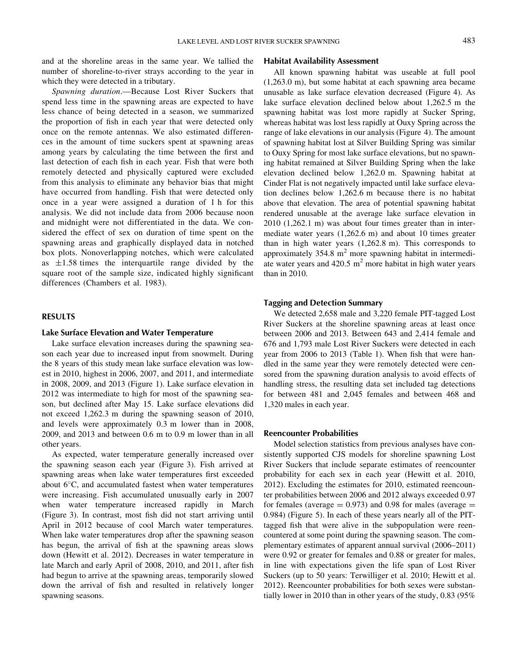and at the shoreline areas in the same year. We tallied the number of shoreline-to-river strays according to the year in which they were detected in a tributary.

Spawning duration.—Because Lost River Suckers that spend less time in the spawning areas are expected to have less chance of being detected in a season, we summarized the proportion of fish in each year that were detected only once on the remote antennas. We also estimated differences in the amount of time suckers spent at spawning areas among years by calculating the time between the first and last detection of each fish in each year. Fish that were both remotely detected and physically captured were excluded from this analysis to eliminate any behavior bias that might have occurred from handling. Fish that were detected only once in a year were assigned a duration of 1 h for this analysis. We did not include data from 2006 because noon and midnight were not differentiated in the data. We considered the effect of sex on duration of time spent on the spawning areas and graphically displayed data in notched box plots. Nonoverlapping notches, which were calculated as  $\pm 1.58$  times the interquartile range divided by the square root of the sample size, indicated highly significant differences (Chambers et al. 1983).

#### RESULTS

#### Lake Surface Elevation and Water Temperature

Lake surface elevation increases during the spawning season each year due to increased input from snowmelt. During the 8 years of this study mean lake surface elevation was lowest in 2010, highest in 2006, 2007, and 2011, and intermediate in 2008, 2009, and 2013 (Figure 1). Lake surface elevation in 2012 was intermediate to high for most of the spawning season, but declined after May 15. Lake surface elevations did not exceed 1,262.3 m during the spawning season of 2010, and levels were approximately 0.3 m lower than in 2008, 2009, and 2013 and between 0.6 m to 0.9 m lower than in all other years.

As expected, water temperature generally increased over the spawning season each year (Figure 3). Fish arrived at spawning areas when lake water temperatures first exceeded about  $6^{\circ}$ C, and accumulated fastest when water temperatures were increasing. Fish accumulated unusually early in 2007 when water temperature increased rapidly in March (Figure 3). In contrast, most fish did not start arriving until April in 2012 because of cool March water temperatures. When lake water temperatures drop after the spawning season has begun, the arrival of fish at the spawning areas slows down (Hewitt et al. 2012). Decreases in water temperature in late March and early April of 2008, 2010, and 2011, after fish had begun to arrive at the spawning areas, temporarily slowed down the arrival of fish and resulted in relatively longer spawning seasons.

#### Habitat Availability Assessment

All known spawning habitat was useable at full pool (1,263.0 m), but some habitat at each spawning area became unusable as lake surface elevation decreased (Figure 4). As lake surface elevation declined below about 1,262.5 m the spawning habitat was lost more rapidly at Sucker Spring, whereas habitat was lost less rapidly at Ouxy Spring across the range of lake elevations in our analysis (Figure 4). The amount of spawning habitat lost at Silver Building Spring was similar to Ouxy Spring for most lake surface elevations, but no spawning habitat remained at Silver Building Spring when the lake elevation declined below 1,262.0 m. Spawning habitat at Cinder Flat is not negatively impacted until lake surface elevation declines below 1,262.6 m because there is no habitat above that elevation. The area of potential spawning habitat rendered unusable at the average lake surface elevation in 2010 (1,262.1 m) was about four times greater than in intermediate water years (1,262.6 m) and about 10 times greater than in high water years (1,262.8 m). This corresponds to approximately  $354.8 \text{ m}^2$  more spawning habitat in intermediate water years and  $420.5 \text{ m}^2$  more habitat in high water years than in 2010.

#### Tagging and Detection Summary

We detected 2,658 male and 3,220 female PIT-tagged Lost River Suckers at the shoreline spawning areas at least once between 2006 and 2013. Between 643 and 2,414 female and 676 and 1,793 male Lost River Suckers were detected in each year from 2006 to 2013 (Table 1). When fish that were handled in the same year they were remotely detected were censored from the spawning duration analysis to avoid effects of handling stress, the resulting data set included tag detections for between 481 and 2,045 females and between 468 and 1,320 males in each year.

#### Reencounter Probabilities

Model selection statistics from previous analyses have consistently supported CJS models for shoreline spawning Lost River Suckers that include separate estimates of reencounter probability for each sex in each year (Hewitt et al. 2010, 2012). Excluding the estimates for 2010, estimated reencounter probabilities between 2006 and 2012 always exceeded 0.97 for females (average  $= 0.973$ ) and 0.98 for males (average  $=$ 0.984) (Figure 5). In each of these years nearly all of the PITtagged fish that were alive in the subpopulation were reencountered at some point during the spawning season. The complementary estimates of apparent annual survival (2006–2011) were 0.92 or greater for females and 0.88 or greater for males, in line with expectations given the life span of Lost River Suckers (up to 50 years: Terwilliger et al. 2010; Hewitt et al. 2012). Reencounter probabilities for both sexes were substantially lower in 2010 than in other years of the study, 0.83 (95%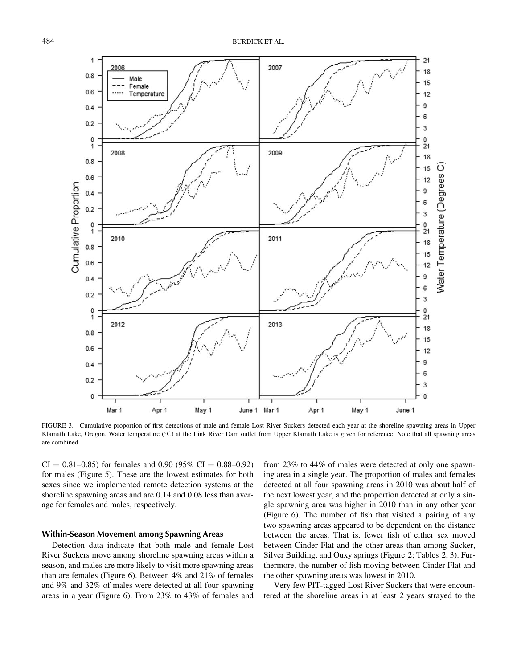

FIGURE 3. Cumulative proportion of first detections of male and female Lost River Suckers detected each year at the shoreline spawning areas in Upper Klamath Lake, Oregon. Water temperature (°C) at the Link River Dam outlet from Upper Klamath Lake is given for reference. Note that all spawning areas are combined.

 $CI = 0.81-0.85$ ) for females and 0.90 (95%  $CI = 0.88-0.92$ ) for males (Figure 5). These are the lowest estimates for both sexes since we implemented remote detection systems at the shoreline spawning areas and are 0.14 and 0.08 less than average for females and males, respectively.

#### Within-Season Movement among Spawning Areas

Detection data indicate that both male and female Lost River Suckers move among shoreline spawning areas within a season, and males are more likely to visit more spawning areas than are females (Figure 6). Between 4% and 21% of females and 9% and 32% of males were detected at all four spawning areas in a year (Figure 6). From 23% to 43% of females and from 23% to 44% of males were detected at only one spawning area in a single year. The proportion of males and females detected at all four spawning areas in 2010 was about half of the next lowest year, and the proportion detected at only a single spawning area was higher in 2010 than in any other year (Figure 6). The number of fish that visited a pairing of any two spawning areas appeared to be dependent on the distance between the areas. That is, fewer fish of either sex moved between Cinder Flat and the other areas than among Sucker, Silver Building, and Ouxy springs (Figure 2; Tables 2, 3). Furthermore, the number of fish moving between Cinder Flat and the other spawning areas was lowest in 2010.

Very few PIT-tagged Lost River Suckers that were encountered at the shoreline areas in at least 2 years strayed to the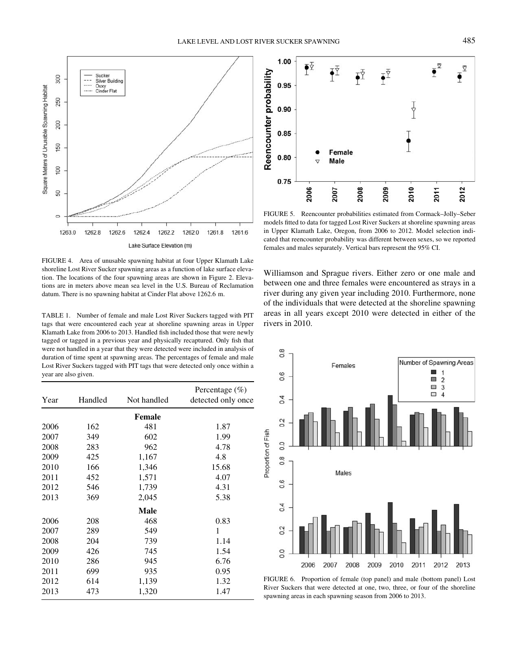

FIGURE 4. Area of unusable spawning habitat at four Upper Klamath Lake shoreline Lost River Sucker spawning areas as a function of lake surface elevation. The locations of the four spawning areas are shown in Figure 2. Elevations are in meters above mean sea level in the U.S. Bureau of Reclamation datum. There is no spawning habitat at Cinder Flat above 1262.6 m.

TABLE 1. Number of female and male Lost River Suckers tagged with PIT tags that were encountered each year at shoreline spawning areas in Upper Klamath Lake from 2006 to 2013. Handled fish included those that were newly tagged or tagged in a previous year and physically recaptured. Only fish that were not handled in a year that they were detected were included in analysis of duration of time spent at spawning areas. The percentages of female and male Lost River Suckers tagged with PIT tags that were detected only once within a year are also given.

| Year | Handled | Not handled | Percentage $(\% )$<br>detected only once |
|------|---------|-------------|------------------------------------------|
|      |         | Female      |                                          |
| 2006 | 162     | 481         | 1.87                                     |
| 2007 | 349     | 602         | 1.99                                     |
| 2008 | 283     | 962         | 4.78                                     |
| 2009 | 425     | 1,167       | 4.8                                      |
| 2010 | 166     | 1,346       | 15.68                                    |
| 2011 | 452     | 1,571       | 4.07                                     |
| 2012 | 546     | 1,739       | 4.31                                     |
| 2013 | 369     | 2,045       | 5.38                                     |
|      |         | Male        |                                          |
| 2006 | 208     | 468         | 0.83                                     |
| 2007 | 289     | 549         | 1                                        |
| 2008 | 204     | 739         | 1.14                                     |
| 2009 | 426     | 745         | 1.54                                     |
| 2010 | 286     | 945         | 6.76                                     |
| 2011 | 699     | 935         | 0.95                                     |
| 2012 | 614     | 1,139       | 1.32                                     |
| 2013 | 473     | 1,320       | 1.47                                     |



FIGURE 5. Reencounter probabilities estimated from Cormack–Jolly–Seber models fitted to data for tagged Lost River Suckers at shoreline spawning areas in Upper Klamath Lake, Oregon, from 2006 to 2012. Model selection indicated that reencounter probability was different between sexes, so we reported females and males separately. Vertical bars represent the 95% CI.

Williamson and Sprague rivers. Either zero or one male and between one and three females were encountered as strays in a river during any given year including 2010. Furthermore, none of the individuals that were detected at the shoreline spawning areas in all years except 2010 were detected in either of the rivers in 2010.



FIGURE 6. Proportion of female (top panel) and male (bottom panel) Lost River Suckers that were detected at one, two, three, or four of the shoreline spawning areas in each spawning season from 2006 to 2013.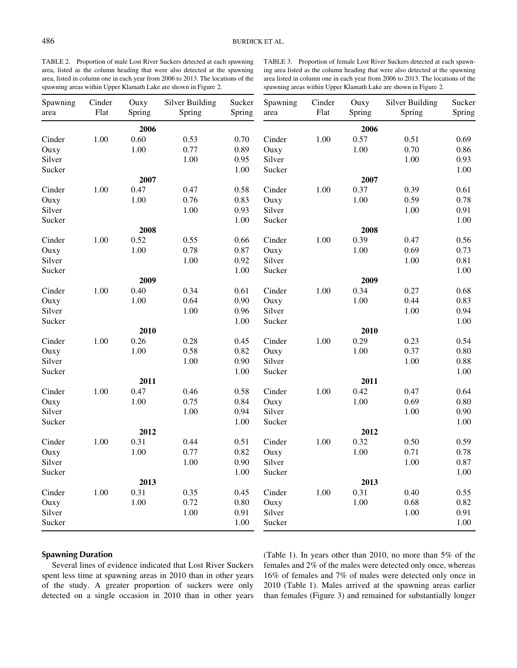TABLE 2. Proportion of male Lost River Suckers detected at each spawning area, listed as the column heading that were also detected at the spawning area, listed in column one in each year from 2006 to 2013. The locations of the spawning areas within Upper Klamath Lake are shown in Figure 2.

TABLE 3. Proportion of female Lost River Suckers detected at each spawning area listed as the column heading that were also detected at the spawning area listed in column one in each year from 2006 to 2013. The locations of the spawning areas within Upper Klamath Lake are shown in Figure 2.

| Spawning<br>area | Cinder<br>Flat | Ouxy<br>Spring | <b>Silver Building</b><br>Spring | Sucker<br>Spring | Spawning<br>area | Cinder<br>Flat | Ouxy<br>Spring | <b>Silver Building</b><br>Spring | Sucker<br>Spring |
|------------------|----------------|----------------|----------------------------------|------------------|------------------|----------------|----------------|----------------------------------|------------------|
|                  |                | 2006           |                                  |                  |                  |                | 2006           |                                  |                  |
| Cinder           | 1.00           | 0.60           | 0.53                             | 0.70             | Cinder           | 1.00           | 0.57           | 0.51                             | 0.69             |
| Ouxy             |                | 1.00           | 0.77                             | 0.89             | Ouxy             |                | 1.00           | 0.70                             | 0.86             |
| Silver           |                |                | 1.00                             | 0.95             | Silver           |                |                | 1.00                             | 0.93             |
| Sucker           |                |                |                                  | 1.00             | Sucker           |                |                |                                  | 1.00             |
|                  |                | 2007           |                                  |                  |                  |                | 2007           |                                  |                  |
| Cinder           | 1.00           | 0.47           | 0.47                             | 0.58             | Cinder           | 1.00           | 0.37           | 0.39                             | 0.61             |
| Ouxy             |                | 1.00           | 0.76                             | 0.83             | Ouxy             |                | 1.00           | 0.59                             | 0.78             |
| Silver           |                |                | 1.00                             | 0.93             | Silver           |                |                | 1.00                             | 0.91             |
| Sucker           |                |                |                                  | 1.00             | Sucker           |                |                |                                  | 1.00             |
|                  |                | 2008           |                                  |                  |                  |                | 2008           |                                  |                  |
| Cinder           | 1.00           | 0.52           | 0.55                             | 0.66             | Cinder           | 1.00           | 0.39           | 0.47                             | 0.56             |
| Ouxy             |                | 1.00           | 0.78                             | 0.87             | Ouxy             |                | 1.00           | 0.69                             | 0.73             |
| Silver           |                |                | 1.00                             | 0.92             | Silver           |                |                | 1.00                             | 0.81             |
| Sucker           |                |                |                                  | 1.00             | Sucker           |                |                |                                  | 1.00             |
|                  |                | 2009           |                                  |                  |                  |                | 2009           |                                  |                  |
| Cinder           | 1.00           | 0.40           | 0.34                             | 0.61             | Cinder           | 1.00           | 0.34           | 0.27                             | 0.68             |
| Ouxy             |                | 1.00           | 0.64                             | 0.90             | Ouxy             |                | 1.00           | 0.44                             | 0.83             |
| Silver           |                |                | 1.00                             | 0.96             | Silver           |                |                | 1.00                             | 0.94             |
| Sucker           |                |                |                                  | 1.00             | Sucker           |                |                |                                  | 1.00             |
|                  |                | 2010           |                                  |                  |                  |                | 2010           |                                  |                  |
| Cinder           | 1.00           | 0.26           | 0.28                             | 0.45             | Cinder           | 1.00           | 0.29           | 0.23                             | 0.54             |
| Ouxy             |                | 1.00           | 0.58                             | 0.82             | Ouxy             |                | 1.00           | 0.37                             | 0.80             |
| Silver           |                |                | 1.00                             | 0.90             | Silver           |                |                | 1.00                             | 0.88             |
| Sucker           |                |                |                                  | 1.00             | Sucker           |                |                |                                  | 1.00             |
|                  |                | 2011           |                                  |                  |                  |                | 2011           |                                  |                  |
| Cinder           | 1.00           | 0.47           | 0.46                             | 0.58             | Cinder           | 1.00           | 0.42           | 0.47                             | 0.64             |
| Ouxy             |                | 1.00           | 0.75                             | 0.84             | Ouxy             |                | 1.00           | 0.69                             | 0.80             |
| Silver           |                |                | $1.00\,$                         | 0.94             | Silver           |                |                | $1.00\,$                         | 0.90             |
| Sucker           |                |                |                                  | 1.00             | Sucker           |                |                |                                  | 1.00             |
|                  |                | 2012           |                                  |                  |                  |                | 2012           |                                  |                  |
| Cinder           | 1.00           | 0.31           | 0.44                             | 0.51             | Cinder           | 1.00           | 0.32           | 0.50                             | 0.59             |
| Ouxy             |                | 1.00           | 0.77                             | 0.82             | Ouxy             |                | 1.00           | 0.71                             | 0.78             |
| Silver           |                |                | 1.00                             | 0.90             | Silver           |                |                | 1.00                             | 0.87             |
| Sucker           |                |                |                                  | 1.00             | Sucker           |                |                |                                  | 1.00             |
|                  |                | 2013           |                                  |                  |                  |                | 2013           |                                  |                  |
| Cinder           | 1.00           | 0.31           | 0.35                             | 0.45             | Cinder           | 1.00           | 0.31           | 0.40                             | 0.55             |
| Ouxy             |                | 1.00           | 0.72                             | 0.80             | Ouxy             |                | 1.00           | 0.68                             | 0.82             |
| Silver           |                |                | 1.00                             | 0.91             | Silver           |                |                | 1.00                             | 0.91             |
| Sucker           |                |                |                                  | 1.00             | Sucker           |                |                |                                  | 1.00             |
|                  |                |                |                                  |                  |                  |                |                |                                  |                  |

#### Spawning Duration

Several lines of evidence indicated that Lost River Suckers spent less time at spawning areas in 2010 than in other years of the study. A greater proportion of suckers were only detected on a single occasion in 2010 than in other years

(Table 1). In years other than 2010, no more than 5% of the females and 2% of the males were detected only once, whereas 16% of females and 7% of males were detected only once in 2010 (Table 1). Males arrived at the spawning areas earlier than females (Figure 3) and remained for substantially longer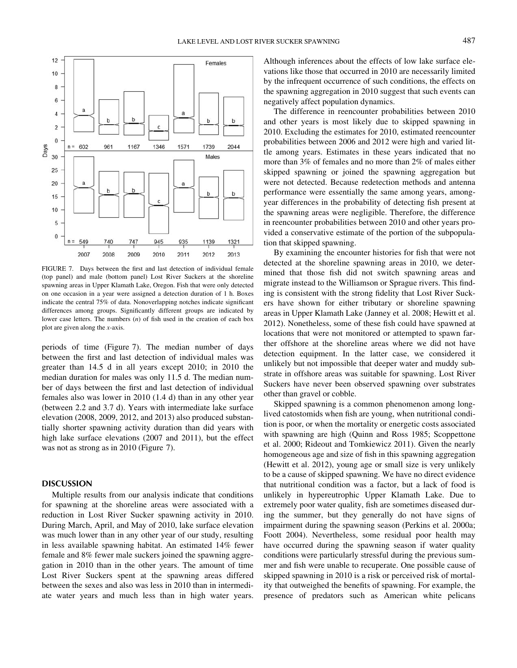

FIGURE 7. Days between the first and last detection of individual female (top panel) and male (bottom panel) Lost River Suckers at the shoreline spawning areas in Upper Klamath Lake, Oregon. Fish that were only detected on one occasion in a year were assigned a detection duration of 1 h. Boxes indicate the central 75% of data. Nonoverlapping notches indicate significant differences among groups. Significantly different groups are indicated by lower case letters. The numbers  $(n)$  of fish used in the creation of each box plot are given along the x-axis.

periods of time (Figure 7). The median number of days between the first and last detection of individual males was greater than 14.5 d in all years except 2010; in 2010 the median duration for males was only 11.5 d. The median number of days between the first and last detection of individual females also was lower in 2010 (1.4 d) than in any other year (between 2.2 and 3.7 d). Years with intermediate lake surface elevation (2008, 2009, 2012, and 2013) also produced substantially shorter spawning activity duration than did years with high lake surface elevations (2007 and 2011), but the effect was not as strong as in 2010 (Figure 7).

## DISCUSSION

Multiple results from our analysis indicate that conditions for spawning at the shoreline areas were associated with a reduction in Lost River Sucker spawning activity in 2010. During March, April, and May of 2010, lake surface elevation was much lower than in any other year of our study, resulting in less available spawning habitat. An estimated 14% fewer female and 8% fewer male suckers joined the spawning aggregation in 2010 than in the other years. The amount of time Lost River Suckers spent at the spawning areas differed between the sexes and also was less in 2010 than in intermediate water years and much less than in high water years.

Although inferences about the effects of low lake surface elevations like those that occurred in 2010 are necessarily limited by the infrequent occurrence of such conditions, the effects on the spawning aggregation in 2010 suggest that such events can negatively affect population dynamics.

The difference in reencounter probabilities between 2010 and other years is most likely due to skipped spawning in 2010. Excluding the estimates for 2010, estimated reencounter probabilities between 2006 and 2012 were high and varied little among years. Estimates in these years indicated that no more than 3% of females and no more than 2% of males either skipped spawning or joined the spawning aggregation but were not detected. Because redetection methods and antenna performance were essentially the same among years, amongyear differences in the probability of detecting fish present at the spawning areas were negligible. Therefore, the difference in reencounter probabilities between 2010 and other years provided a conservative estimate of the portion of the subpopulation that skipped spawning.

By examining the encounter histories for fish that were not detected at the shoreline spawning areas in 2010, we determined that those fish did not switch spawning areas and migrate instead to the Williamson or Sprague rivers. This finding is consistent with the strong fidelity that Lost River Suckers have shown for either tributary or shoreline spawning areas in Upper Klamath Lake (Janney et al. 2008; Hewitt et al. 2012). Nonetheless, some of these fish could have spawned at locations that were not monitored or attempted to spawn farther offshore at the shoreline areas where we did not have detection equipment. In the latter case, we considered it unlikely but not impossible that deeper water and muddy substrate in offshore areas was suitable for spawning. Lost River Suckers have never been observed spawning over substrates other than gravel or cobble.

Skipped spawning is a common phenomenon among longlived catostomids when fish are young, when nutritional condition is poor, or when the mortality or energetic costs associated with spawning are high (Quinn and Ross 1985; Scoppettone et al. 2000; Rideout and Tomkiewicz 2011). Given the nearly homogeneous age and size of fish in this spawning aggregation (Hewitt et al. 2012), young age or small size is very unlikely to be a cause of skipped spawning. We have no direct evidence that nutritional condition was a factor, but a lack of food is unlikely in hypereutrophic Upper Klamath Lake. Due to extremely poor water quality, fish are sometimes diseased during the summer, but they generally do not have signs of impairment during the spawning season (Perkins et al. 2000a; Foott 2004). Nevertheless, some residual poor health may have occurred during the spawning season if water quality conditions were particularly stressful during the previous summer and fish were unable to recuperate. One possible cause of skipped spawning in 2010 is a risk or perceived risk of mortality that outweighed the benefits of spawning. For example, the presence of predators such as American white pelicans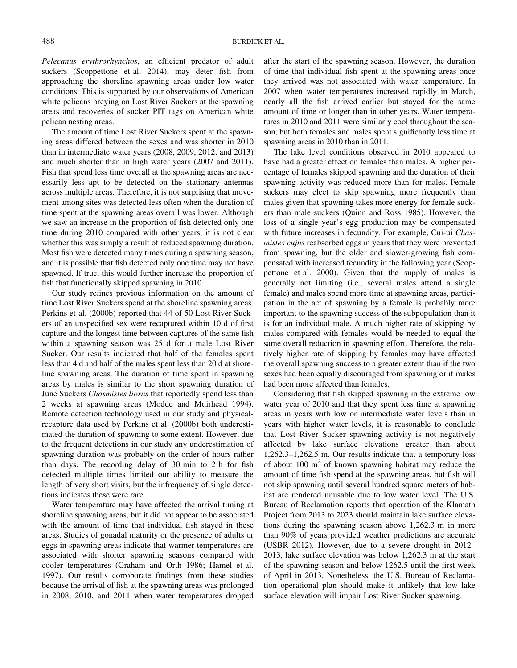Pelecanus erythrorhynchos, an efficient predator of adult suckers (Scoppettone et al. 2014), may deter fish from approaching the shoreline spawning areas under low water conditions. This is supported by our observations of American white pelicans preying on Lost River Suckers at the spawning areas and recoveries of sucker PIT tags on American white pelican nesting areas.

The amount of time Lost River Suckers spent at the spawning areas differed between the sexes and was shorter in 2010 than in intermediate water years (2008, 2009, 2012, and 2013) and much shorter than in high water years (2007 and 2011). Fish that spend less time overall at the spawning areas are necessarily less apt to be detected on the stationary antennas across multiple areas. Therefore, it is not surprising that movement among sites was detected less often when the duration of time spent at the spawning areas overall was lower. Although we saw an increase in the proportion of fish detected only one time during 2010 compared with other years, it is not clear whether this was simply a result of reduced spawning duration. Most fish were detected many times during a spawning season, and it is possible that fish detected only one time may not have spawned. If true, this would further increase the proportion of fish that functionally skipped spawning in 2010.

Our study refines previous information on the amount of time Lost River Suckers spend at the shoreline spawning areas. Perkins et al. (2000b) reported that 44 of 50 Lost River Suckers of an unspecified sex were recaptured within 10 d of first capture and the longest time between captures of the same fish within a spawning season was 25 d for a male Lost River Sucker. Our results indicated that half of the females spent less than 4 d and half of the males spent less than 20 d at shoreline spawning areas. The duration of time spent in spawning areas by males is similar to the short spawning duration of June Suckers Chasmistes liorus that reportedly spend less than 2 weeks at spawning areas (Modde and Muirhead 1994). Remote detection technology used in our study and physicalrecapture data used by Perkins et al. (2000b) both underestimated the duration of spawning to some extent. However, due to the frequent detections in our study any underestimation of spawning duration was probably on the order of hours rather than days. The recording delay of 30 min to 2 h for fish detected multiple times limited our ability to measure the length of very short visits, but the infrequency of single detections indicates these were rare.

Water temperature may have affected the arrival timing at shoreline spawning areas, but it did not appear to be associated with the amount of time that individual fish stayed in these areas. Studies of gonadal maturity or the presence of adults or eggs in spawning areas indicate that warmer temperatures are associated with shorter spawning seasons compared with cooler temperatures (Graham and Orth 1986; Hamel et al. 1997). Our results corroborate findings from these studies because the arrival of fish at the spawning areas was prolonged in 2008, 2010, and 2011 when water temperatures dropped

after the start of the spawning season. However, the duration of time that individual fish spent at the spawning areas once they arrived was not associated with water temperature. In 2007 when water temperatures increased rapidly in March, nearly all the fish arrived earlier but stayed for the same amount of time or longer than in other years. Water temperatures in 2010 and 2011 were similarly cool throughout the season, but both females and males spent significantly less time at spawning areas in 2010 than in 2011.

The lake level conditions observed in 2010 appeared to have had a greater effect on females than males. A higher percentage of females skipped spawning and the duration of their spawning activity was reduced more than for males. Female suckers may elect to skip spawning more frequently than males given that spawning takes more energy for female suckers than male suckers (Quinn and Ross 1985). However, the loss of a single year's egg production may be compensated with future increases in fecundity. For example, Cui-ui Chasmistes cujus reabsorbed eggs in years that they were prevented from spawning, but the older and slower-growing fish compensated with increased fecundity in the following year (Scoppettone et al. 2000). Given that the supply of males is generally not limiting (i.e., several males attend a single female) and males spend more time at spawning areas, participation in the act of spawning by a female is probably more important to the spawning success of the subpopulation than it is for an individual male. A much higher rate of skipping by males compared with females would be needed to equal the same overall reduction in spawning effort. Therefore, the relatively higher rate of skipping by females may have affected the overall spawning success to a greater extent than if the two sexes had been equally discouraged from spawning or if males had been more affected than females.

Considering that fish skipped spawning in the extreme low water year of 2010 and that they spent less time at spawning areas in years with low or intermediate water levels than in years with higher water levels, it is reasonable to conclude that Lost River Sucker spawning activity is not negatively affected by lake surface elevations greater than about 1,262.3–1,262.5 m. Our results indicate that a temporary loss of about 100  $m<sup>2</sup>$  of known spawning habitat may reduce the amount of time fish spend at the spawning areas, but fish will not skip spawning until several hundred square meters of habitat are rendered unusable due to low water level. The U.S. Bureau of Reclamation reports that operation of the Klamath Project from 2013 to 2023 should maintain lake surface elevations during the spawning season above 1,262.3 m in more than 90% of years provided weather predictions are accurate (USBR 2012). However, due to a severe drought in 2012– 2013, lake surface elevation was below 1,262.3 m at the start of the spawning season and below 1262.5 until the first week of April in 2013. Nonetheless, the U.S. Bureau of Reclamation operational plan should make it unlikely that low lake surface elevation will impair Lost River Sucker spawning.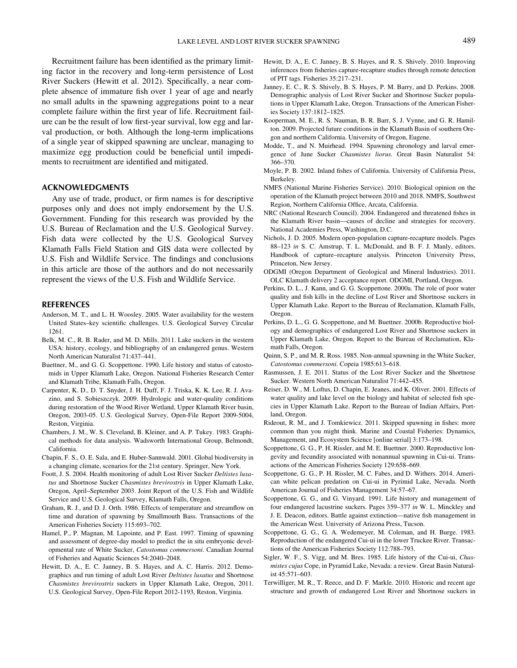Recruitment failure has been identified as the primary limiting factor in the recovery and long-term persistence of Lost River Suckers (Hewitt et al. 2012). Specifically, a near complete absence of immature fish over 1 year of age and nearly no small adults in the spawning aggregations point to a near complete failure within the first year of life. Recruitment failure can be the result of low first-year survival, low egg and larval production, or both. Although the long-term implications of a single year of skipped spawning are unclear, managing to maximize egg production could be beneficial until impediments to recruitment are identified and mitigated.

#### ACKNOWLEDGMENTS

Any use of trade, product, or firm names is for descriptive purposes only and does not imply endorsement by the U.S. Government. Funding for this research was provided by the U.S. Bureau of Reclamation and the U.S. Geological Survey. Fish data were collected by the U.S. Geological Survey Klamath Falls Field Station and GIS data were collected by U.S. Fish and Wildlife Service. The findings and conclusions in this article are those of the authors and do not necessarily represent the views of the U.S. Fish and Wildlife Service.

#### **REFERENCES**

- Anderson, M. T., and L. H. Woosley. 2005. Water availability for the western United States–key scientific challenges. U.S. Geological Survey Circular 1261.
- Belk, M. C., R. B. Rader, and M. D. Mills. 2011. Lake suckers in the western USA: history, ecology, and bibliography of an endangered genus. Western North American Naturalist 71:437–441.
- Buettner, M., and G. G. Scoppettone. 1990. Life history and status of catostomids in Upper Klamath Lake, Oregon. National Fisheries Research Center and Klamath Tribe, Klamath Falls, Oregon.
- Carpenter, K. D., D. T. Snyder, J. H. Duff, F. J. Triska, K. K. Lee, R. J. Avazino, and S. Sobieszczyk. 2009. Hydrologic and water-quality conditions during restoration of the Wood River Wetland, Upper Klamath River basin, Oregon, 2003-05. U.S. Geological Survey, Open-File Report 2009-5004, Reston, Virginia.
- Chambers, J. M., W. S. Cleveland, B. Kleiner, and A. P. Tukey. 1983. Graphical methods for data analysis. Wadsworth International Group, Belmondt, California.
- Chapin, F. S., O. E. Sala, and E. Huber-Sannwald. 2001. Global biodiversity in a changing climate, scenarios for the 21st century. Springer, New York.
- Foott, J. S. 2004. Health monitoring of adult Lost River Sucker Deltistes luxatus and Shortnose Sucker Chasmistes brevirostris in Upper Klamath Lake, Oregon, April–September 2003. Joint Report of the U.S. Fish and Wildlife Service and U.S. Geological Survey, Klamath Falls, Oregon.
- Graham, R. J., and D. J. Orth. 1986. Effects of temperature and streamflow on time and duration of spawning by Smallmouth Bass. Transactions of the American Fisheries Society 115:693–702.
- Hamel, P., P. Magnan, M. Lapointe, and P. East. 1997. Timing of spawning and assessment of degree-day model to predict the in situ embryonic developmental rate of White Sucker, Catostomus commersoni. Canadian Journal of Fisheries and Aquatic Sciences 54:2040–2048.
- Hewitt, D. A., E. C. Janney, B. S. Hayes, and A. C. Harris. 2012. Demographics and run timing of adult Lost River Deltistes luxatus and Shortnose Chasmistes brevirostris suckers in Upper Klamath Lake, Oregon, 2011. U.S. Geological Survey, Open-File Report 2012-1193, Reston, Virginia.
- Hewitt, D. A., E. C. Janney, B. S. Hayes, and R. S. Shively. 2010. Improving inferences from fisheries capture-recapture studies through remote detection of PIT tags. Fisheries 35:217–231.
- Janney, E. C., R. S. Shively, B. S. Hayes, P. M. Barry, and D. Perkins. 2008. Demographic analysis of Lost River Sucker and Shortnose Sucker populations in Upper Klamath Lake, Oregon. Transactions of the American Fisheries Society 137:1812–1825.
- Kooperman, M. E., R. S. Nauman, B. R. Barr, S. J. Vynne, and G. R. Hamilton. 2009. Projected future conditions in the Klamath Basin of southern Oregon and northern California. University of Oregon, Eugene.
- Modde, T., and N. Muirhead. 1994. Spawning chronology and larval emergence of June Sucker Chasmistes liorus. Great Basin Naturalist 54: 366–370.
- Moyle, P. B. 2002. Inland fishes of California. University of California Press, Berkeley.
- NMFS (National Marine Fisheries Service). 2010. Biological opinion on the operation of the Klamath project between 2010 and 2018. NMFS, Southwest Region, Northern California Office, Arcata, California.
- NRC (National Research Council). 2004. Endangered and threatened fishes in the Klamath River basin—causes of decline and strategies for recovery. National Academies Press, Washington, D.C.
- Nichols, J. D. 2005. Modern open-population capture-recapture models. Pages 88–123 in S. C. Amstrup, T. L. McDonald, and B. F. J. Manly, editors. Handbook of capture–recapture analysis. Princeton University Press, Princeton, New Jersey.
- ODGMI (Oregon Department of Geological and Mineral Industries). 2011. OLC Klamath delivery 2 acceptance report. ODGMI, Portland, Oregon.
- Perkins, D. L., J. Kann, and G. G. Scoppettone. 2000a. The role of poor water quality and fish kills in the decline of Lost River and Shortnose suckers in Upper Klamath Lake. Report to the Bureau of Reclamation, Klamath Falls, Oregon.
- Perkins, D. L., G. G. Scoppettone, and M. Buettner. 2000b. Reproductive biology and demographics of endangered Lost River and Shortnose suckers in Upper Klamath Lake, Oregon. Report to the Bureau of Reclamation, Klamath Falls, Oregon.
- Quinn, S. P., and M. R. Ross. 1985. Non-annual spawning in the White Sucker, Catostomus commersoni. Copeia 1985:613–618.
- Rasmussen, J. E. 2011. Status of the Lost River Sucker and the Shortnose Sucker. Western North American Naturalist 71:442–455.
- Reiser, D. W., M. Loftus, D. Chapin, E. Jeanes, and K. Oliver. 2001. Effects of water quality and lake level on the biology and habitat of selected fish species in Upper Klamath Lake. Report to the Bureau of Indian Affairs, Portland, Oregon.
- Rideout, R. M., and J. Tomkiewicz. 2011. Skipped spawning in fishes: more common than you might think. Marine and Coastal Fisheries: Dynamics, Management, and Ecosystem Science [online serial] 3:173–198.
- Scoppettone, G. G., P. H. Rissler, and M. E. Buettner. 2000. Reproductive longevity and fecundity associated with nonannual spawning in Cui-ui. Transactions of the American Fisheries Society 129:658–669.
- Scoppettone, G. G., P. H. Rissler, M. C. Fabes, and D. Withers. 2014. American white pelican predation on Cui-ui in Pyrimid Lake, Nevada. North American Journal of Fisheries Management 34:57–67.
- Scoppettone, G. G., and G. Vinyard. 1991. Life history and management of four endangered lacustrine suckers. Pages 359–377 in W. L. Minckley and J. E. Deacon, editors. Battle against extinction—native fish management in the American West. University of Arizona Press, Tucson.
- Scoppettone, G. G., G. A. Wedemeyer, M. Coleman, and H. Burge. 1983. Reproduction of the endangered Cui-ui in the lower Truckee River. Transactions of the American Fisheries Society 112:788–793.
- Sigler, W. F., S. Vigg, and M. Bres. 1985. Life history of the Cui-ui, Chasmistes cujus Cope, in Pyramid Lake, Nevada: a review. Great Basin Naturalist 45:571–603.
- Terwilliger, M. R., T. Reece, and D. F. Markle. 2010. Historic and recent age structure and growth of endangered Lost River and Shortnose suckers in